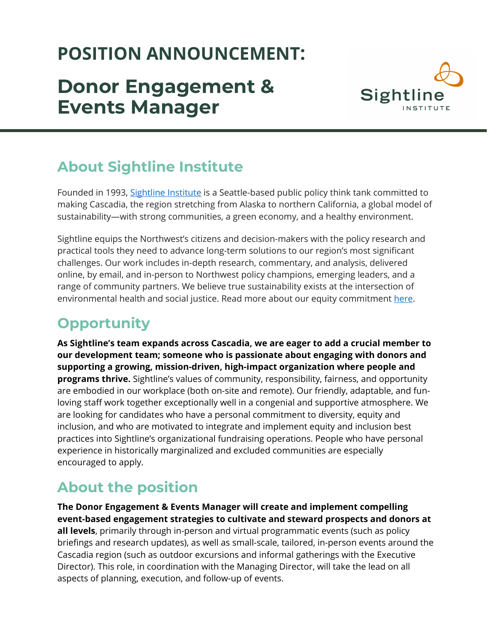# **POSITION ANNOUNCEMENT:**

# **Donor Engagement & Events Manager**



# **About Sightline Institute**

Founded in 1993, [Sightline Institute](https://www.sightline.org/) is a Seattle-based public policy think tank committed to making Cascadia, the region stretching from Alaska to northern California, a global model of sustainability—with strong communities, a green economy, and a healthy environment.

Sightline equips the Northwest's citizens and decision-makers with the policy research and practical tools they need to advance long-term solutions to our region's most significant challenges. Our work includes in-depth research, commentary, and analysis, delivered online, by email, and in-person to Northwest policy champions, emerging leaders, and a range of community partners. We believe true sustainability exists at the intersection of environmental health and social justice. Read more about our equity commitment [here.](https://www.sightline.org/about/our-equity-commitment/)

# **Opportunity**

**As Sightline's team expands across Cascadia, we are eager to add a crucial member to our development team; someone who is passionate about engaging with donors and supporting a growing, mission-driven, high-impact organization where people and programs thrive.** Sightline's values of community, responsibility, fairness, and opportunity are embodied in our workplace (both on-site and remote). Our friendly, adaptable, and funloving staff work together exceptionally well in a congenial and supportive atmosphere. We are looking for candidates who have a personal commitment to diversity, equity and inclusion, and who are motivated to integrate and implement equity and inclusion best practices into Sightline's organizational fundraising operations. People who have personal experience in historically marginalized and excluded communities are especially encouraged to apply.

# **About the position**

**The Donor Engagement & Events Manager will create and implement compelling event-based engagement strategies to cultivate and steward prospects and donors at all levels**, primarily through in-person and virtual programmatic events (such as policy briefings and research updates), as well as small-scale, tailored, in-person events around the Cascadia region (such as outdoor excursions and informal gatherings with the Executive Director). This role, in coordination with the Managing Director, will take the lead on all aspects of planning, execution, and follow-up of events.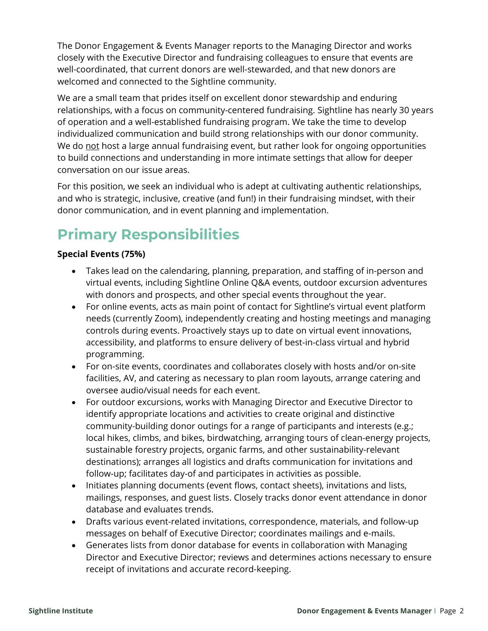The Donor Engagement & Events Manager reports to the Managing Director and works closely with the Executive Director and fundraising colleagues to ensure that events are well-coordinated, that current donors are well-stewarded, and that new donors are welcomed and connected to the Sightline community.

We are a small team that prides itself on excellent donor stewardship and enduring relationships, with a focus on community-centered fundraising. Sightline has nearly 30 years of operation and a well-established fundraising program. We take the time to develop individualized communication and build strong relationships with our donor community. We do not host a large annual fundraising event, but rather look for ongoing opportunities to build connections and understanding in more intimate settings that allow for deeper conversation on our issue areas.

For this position, we seek an individual who is adept at cultivating authentic relationships, and who is strategic, inclusive, creative (and fun!) in their fundraising mindset, with their donor communication, and in event planning and implementation.

# **Primary Responsibilities**

#### **Special Events (75%)**

- Takes lead on the calendaring, planning, preparation, and staffing of in-person and virtual events, including Sightline Online Q&A events, outdoor excursion adventures with donors and prospects, and other special events throughout the year.
- For online events, acts as main point of contact for Sightline's virtual event platform needs (currently Zoom), independently creating and hosting meetings and managing controls during events. Proactively stays up to date on virtual event innovations, accessibility, and platforms to ensure delivery of best-in-class virtual and hybrid programming.
- For on-site events, coordinates and collaborates closely with hosts and/or on-site facilities, AV, and catering as necessary to plan room layouts, arrange catering and oversee audio/visual needs for each event.
- For outdoor excursions, works with Managing Director and Executive Director to identify appropriate locations and activities to create original and distinctive community-building donor outings for a range of participants and interests (e.g.; local hikes, climbs, and bikes, birdwatching, arranging tours of clean-energy projects, sustainable forestry projects, organic farms, and other sustainability-relevant destinations); arranges all logistics and drafts communication for invitations and follow-up; facilitates day-of and participates in activities as possible.
- Initiates planning documents (event flows, contact sheets), invitations and lists, mailings, responses, and guest lists. Closely tracks donor event attendance in donor database and evaluates trends.
- Drafts various event-related invitations, correspondence, materials, and follow-up messages on behalf of Executive Director; coordinates mailings and e-mails.
- Generates lists from donor database for events in collaboration with Managing Director and Executive Director; reviews and determines actions necessary to ensure receipt of invitations and accurate record-keeping.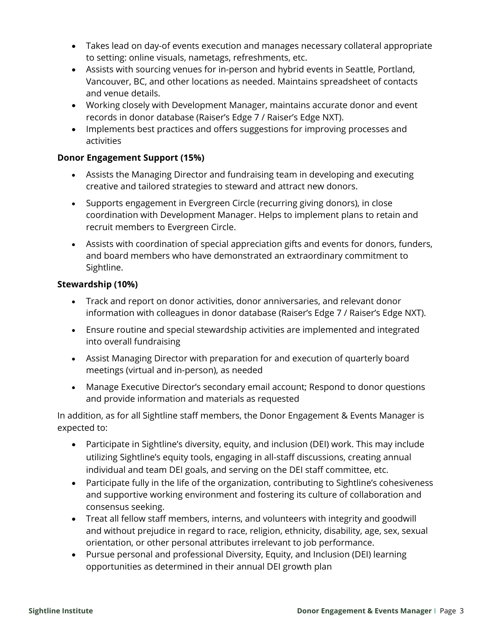- Takes lead on day-of events execution and manages necessary collateral appropriate to setting: online visuals, nametags, refreshments, etc.
- Assists with sourcing venues for in-person and hybrid events in Seattle, Portland, Vancouver, BC, and other locations as needed. Maintains spreadsheet of contacts and venue details.
- Working closely with Development Manager, maintains accurate donor and event records in donor database (Raiser's Edge 7 / Raiser's Edge NXT).
- Implements best practices and offers suggestions for improving processes and activities

#### **Donor Engagement Support (15%)**

- Assists the Managing Director and fundraising team in developing and executing creative and tailored strategies to steward and attract new donors.
- Supports engagement in Evergreen Circle (recurring giving donors), in close coordination with Development Manager. Helps to implement plans to retain and recruit members to Evergreen Circle.
- Assists with coordination of special appreciation gifts and events for donors, funders, and board members who have demonstrated an extraordinary commitment to Sightline.

#### **Stewardship (10%)**

- Track and report on donor activities, donor anniversaries, and relevant donor information with colleagues in donor database (Raiser's Edge 7 / Raiser's Edge NXT).
- Ensure routine and special stewardship activities are implemented and integrated into overall fundraising
- Assist Managing Director with preparation for and execution of quarterly board meetings (virtual and in-person), as needed
- Manage Executive Director's secondary email account; Respond to donor questions and provide information and materials as requested

In addition, as for all Sightline staff members, the Donor Engagement & Events Manager is expected to:

- Participate in Sightline's diversity, equity, and inclusion (DEI) work. This may include utilizing Sightline's equity tools, engaging in all-staff discussions, creating annual individual and team DEI goals, and serving on the DEI staff committee, etc.
- Participate fully in the life of the organization, contributing to Sightline's cohesiveness and supportive working environment and fostering its culture of collaboration and consensus seeking.
- Treat all fellow staff members, interns, and volunteers with integrity and goodwill and without prejudice in regard to race, religion, ethnicity, disability, age, sex, sexual orientation, or other personal attributes irrelevant to job performance.
- Pursue personal and professional Diversity, Equity, and Inclusion (DEI) learning opportunities as determined in their annual DEI growth plan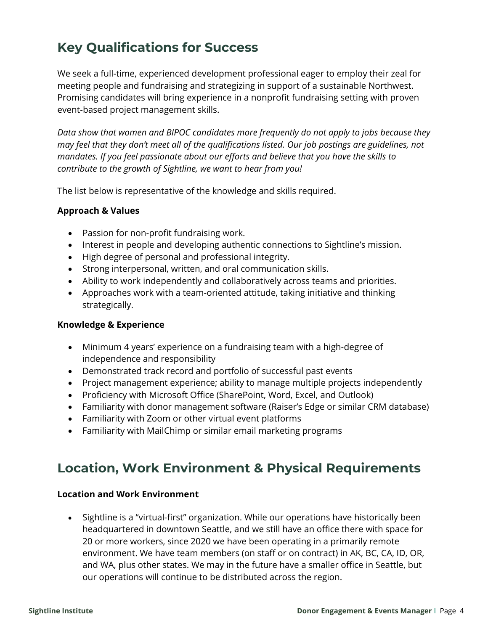## **Key Qualifications for Success**

We seek a full-time, experienced development professional eager to employ their zeal for meeting people and fundraising and strategizing in support of a sustainable Northwest. Promising candidates will bring experience in a nonprofit fundraising setting with proven event-based project management skills.

*Data show that women and BIPOC candidates more frequently do not apply to jobs because they may feel that they don't meet all of the qualifications listed. Our job postings are guidelines, not mandates. If you feel passionate about our efforts and believe that you have the skills to contribute to the growth of Sightline, we want to hear from you!*

The list below is representative of the knowledge and skills required.

#### **Approach & Values**

- Passion for non-profit fundraising work.
- Interest in people and developing authentic connections to Sightline's mission.
- High degree of personal and professional integrity.
- Strong interpersonal, written, and oral communication skills.
- Ability to work independently and collaboratively across teams and priorities.
- Approaches work with a team-oriented attitude, taking initiative and thinking strategically.

#### **Knowledge & Experience**

- Minimum 4 years' experience on a fundraising team with a high-degree of independence and responsibility
- Demonstrated track record and portfolio of successful past events
- Project management experience; ability to manage multiple projects independently
- Proficiency with Microsoft Office (SharePoint, Word, Excel, and Outlook)
- Familiarity with donor management software (Raiser's Edge or similar CRM database)
- Familiarity with Zoom or other virtual event platforms
- Familiarity with MailChimp or similar email marketing programs

### **Location, Work Environment & Physical Requirements**

#### **Location and Work Environment**

• Sightline is a "virtual-first" organization. While our operations have historically been headquartered in downtown Seattle, and we still have an office there with space for 20 or more workers, since 2020 we have been operating in a primarily remote environment. We have team members (on staff or on contract) in AK, BC, CA, ID, OR, and WA, plus other states. We may in the future have a smaller office in Seattle, but our operations will continue to be distributed across the region.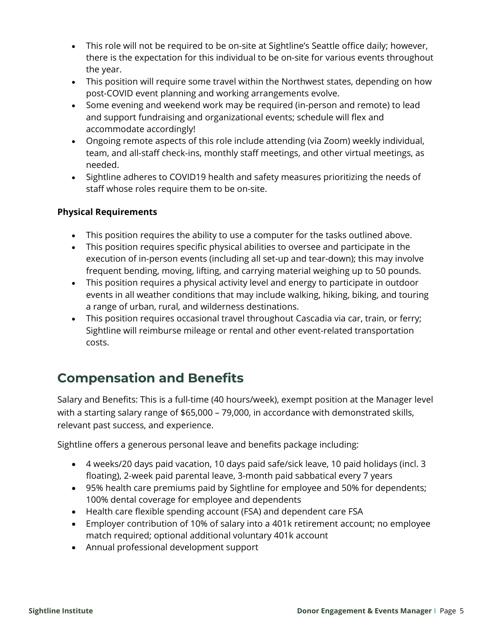- This role will not be required to be on-site at Sightline's Seattle office daily; however, there is the expectation for this individual to be on-site for various events throughout the year.
- This position will require some travel within the Northwest states, depending on how post-COVID event planning and working arrangements evolve.
- Some evening and weekend work may be required (in-person and remote) to lead and support fundraising and organizational events; schedule will flex and accommodate accordingly!
- Ongoing remote aspects of this role include attending (via Zoom) weekly individual, team, and all-staff check-ins, monthly staff meetings, and other virtual meetings, as needed.
- Sightline adheres to COVID19 health and safety measures prioritizing the needs of staff whose roles require them to be on-site.

#### **Physical Requirements**

- This position requires the ability to use a computer for the tasks outlined above.
- This position requires specific physical abilities to oversee and participate in the execution of in-person events (including all set-up and tear-down); this may involve frequent bending, moving, lifting, and carrying material weighing up to 50 pounds.
- This position requires a physical activity level and energy to participate in outdoor events in all weather conditions that may include walking, hiking, biking, and touring a range of urban, rural, and wilderness destinations.
- This position requires occasional travel throughout Cascadia via car, train, or ferry; Sightline will reimburse mileage or rental and other event-related transportation costs.

## **Compensation and Benefits**

Salary and Benefits: This is a full-time (40 hours/week), exempt position at the Manager level with a starting salary range of \$65,000 – 79,000, in accordance with demonstrated skills, relevant past success, and experience.

Sightline offers a generous personal leave and benefits package including:

- 4 weeks/20 days paid vacation, 10 days paid safe/sick leave, 10 paid holidays (incl. 3 floating), 2-week paid parental leave, 3-month paid sabbatical every 7 years
- 95% health care premiums paid by Sightline for employee and 50% for dependents; 100% dental coverage for employee and dependents
- Health care flexible spending account (FSA) and dependent care FSA
- Employer contribution of 10% of salary into a 401k retirement account; no employee match required; optional additional voluntary 401k account
- Annual professional development support